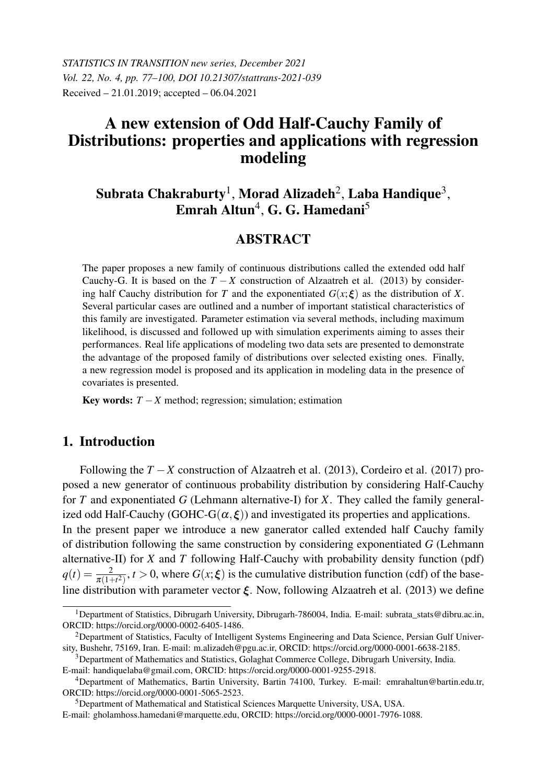*STATISTICS IN TRANSITION new series, December 2021 Vol. 22, No. 4, pp. 77–100, DOI 10.21307/stattrans-2021-039* Received – 21.01.2019; accepted – 06.04.2021

# A new extension of Odd Half-Cauchy Family of Distributions: properties and applications with regression modeling

# Subrata Chakraburty $^{\rm l}$ , Morad Alizadeh $^{\rm 2}$ , Laba Handique $^{\rm 3}$ , Emrah Altun $^4$ , G. G. Hamedani $^5$

# **ABSTRACT**

The paper proposes a new family of continuous distributions called the extended odd half Cauchy-G. It is based on the  $T - X$  construction of Alzaatreh et al. (2013) by considering half Cauchy distribution for *T* and the exponentiated  $G(x;\boldsymbol{\xi})$  as the distribution of *X*. Several particular cases are outlined and a number of important statistical characteristics of this family are investigated. Parameter estimation via several methods, including maximum likelihood, is discussed and followed up with simulation experiments aiming to asses their performances. Real life applications of modeling two data sets are presented to demonstrate the advantage of the proposed family of distributions over selected existing ones. Finally, a new regression model is proposed and its application in modeling data in the presence of covariates is presented.

Key words:  $T - X$  method; regression; simulation; estimation

## 1. Introduction

Following the *T* −*X* construction of Alzaatreh et al. (2013), Cordeiro et al. (2017) proposed a new generator of continuous probability distribution by considering Half-Cauchy for *T* and exponentiated *G* (Lehmann alternative-I) for *X*. They called the family generalized odd Half-Cauchy (GOHC-G( $\alpha, \xi$ )) and investigated its properties and applications. In the present paper we introduce a new ganerator called extended half Cauchy family of distribution following the same construction by considering exponentiated *G* (Lehmann

alternative-II) for *X* and *T* following Half-Cauchy with probability density function (pdf)  $q(t) = \frac{2}{\pi(1+t^2)}$ ,  $t > 0$ , where  $G(x;\xi)$  is the cumulative distribution function (cdf) of the baseline distribution with parameter vector  $\xi$ . Now, following Alzaatreh et al. (2013) we define

<sup>5</sup>Department of Mathematical and Statistical Sciences Marquette University, USA, USA.

<sup>1</sup>Department of Statistics, Dibrugarh University, Dibrugarh-786004, India. E-mail: subrata\_stats@dibru.ac.in, ORCID: https://orcid.org/0000-0002-6405-1486.

<sup>2</sup>Department of Statistics, Faculty of Intelligent Systems Engineering and Data Science, Persian Gulf University, Bushehr, 75169, Iran. E-mail: m.alizadeh@pgu.ac.ir, ORCID: https://orcid.org/0000-0001-6638-2185.

<sup>3</sup>Department of Mathematics and Statistics, Golaghat Commerce College, Dibrugarh University, India. E-mail: handiquelaba@gmail.com, ORCID: https://orcid.org/0000-0001-9255-2918.

<sup>4</sup>Department of Mathematics, Bartin University, Bartin 74100, Turkey. E-mail: emrahaltun@bartin.edu.tr, ORCID: https://orcid.org/0000-0001-5065-2523.

E-mail: gholamhoss.hamedani@marquette.edu, ORCID: https://orcid.org/0000-0001-7976-1088.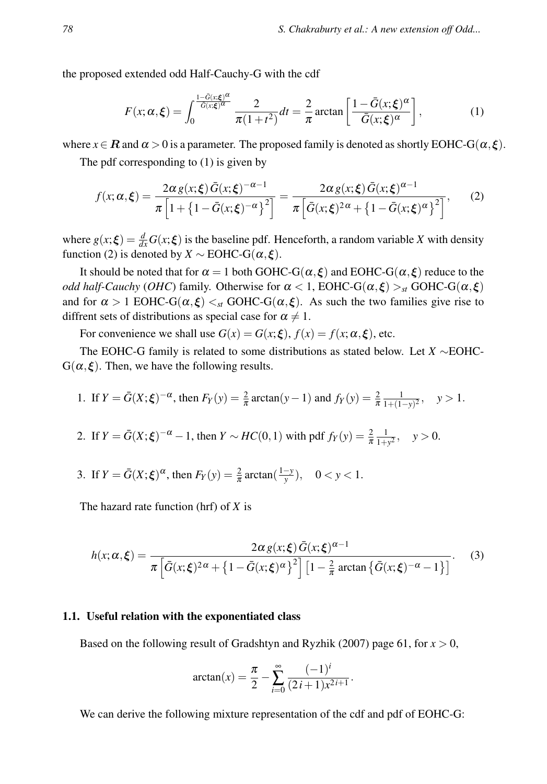the proposed extended odd Half-Cauchy-G with the cdf

$$
F(x; \alpha, \xi) = \int_0^{\frac{1 - \bar{G}(x; \xi)^{\alpha}}{\bar{G}(x; \xi)^{\alpha}}} \frac{2}{\pi (1 + t^2)} dt = \frac{2}{\pi} \arctan \left[ \frac{1 - \bar{G}(x; \xi)^{\alpha}}{\bar{G}(x; \xi)^{\alpha}} \right],
$$
(1)

where  $x \in \mathbf{R}$  and  $\alpha > 0$  is a parameter. The proposed family is denoted as shortly EOHC-G( $\alpha, \xi$ ).

The pdf corresponding to (1) is given by

$$
f(x; \alpha, \xi) = \frac{2\alpha g(x; \xi) \bar{G}(x; \xi)^{-\alpha - 1}}{\pi \left[ 1 + \left\{ 1 - \bar{G}(x; \xi)^{-\alpha} \right\}^2 \right]} = \frac{2\alpha g(x; \xi) \bar{G}(x; \xi)^{\alpha - 1}}{\pi \left[ \bar{G}(x; \xi)^{2\alpha} + \left\{ 1 - \bar{G}(x; \xi)^{\alpha} \right\}^2 \right]},
$$
 (2)

where  $g(x;\xi) = \frac{d}{dx}G(x;\xi)$  is the baseline pdf. Henceforth, a random variable *X* with density function (2) is denoted by  $X \sim \text{EOHC-G}(\alpha, \xi)$ .

It should be noted that for  $\alpha = 1$  both GOHC-G( $\alpha, \xi$ ) and EOHC-G( $\alpha, \xi$ ) reduce to the *odd half-Cauchy* (*OHC*) family. Otherwise for  $\alpha < 1$ , EOHC-G( $\alpha, \xi$ ) ><sub>st</sub> GOHC-G( $\alpha, \xi$ ) and for  $\alpha > 1$  EOHC-G( $\alpha, \xi$ )  $\lt_{st}$  GOHC-G( $\alpha, \xi$ ). As such the two families give rise to diffrent sets of distributions as special case for  $\alpha \neq 1$ .

For convenience we shall use  $G(x) = G(x;\xi)$ ,  $f(x) = f(x;\alpha,\xi)$ , etc.

The EOHC-G family is related to some distributions as stated below. Let *X* ∼EOHC- $G(\alpha, \xi)$ . Then, we have the following results.

1. If 
$$
Y = \bar{G}(X; \xi)^{-\alpha}
$$
, then  $F_Y(y) = \frac{2}{\pi} \arctan(y - 1)$  and  $f_Y(y) = \frac{2}{\pi} \frac{1}{1 + (1 - y)^2}$ ,  $y > 1$ .

2. If  $Y = \bar{G}(X;\xi)^{-\alpha} - 1$ , then  $Y \sim HC(0,1)$  with pdf  $f_Y(y) = \frac{2}{\pi} \frac{1}{1+y^2}$ ,  $y > 0$ .

3. If 
$$
Y = \bar{G}(X; \xi)^{\alpha}
$$
, then  $F_Y(y) = \frac{2}{\pi} \arctan(\frac{1-y}{y})$ ,  $0 < y < 1$ .

The hazard rate function (hrf) of *X* is

$$
h(x; \alpha, \xi) = \frac{2\alpha g(x; \xi) \bar{G}(x; \xi)^{\alpha - 1}}{\pi \left[ \bar{G}(x; \xi)^{2\alpha} + \left\{ 1 - \bar{G}(x; \xi)^{\alpha} \right\}^2 \right] \left[ 1 - \frac{2}{\pi} \arctan \left\{ \bar{G}(x; \xi)^{-\alpha} - 1 \right\} \right]}.
$$
 (3)

#### 1.1. Useful relation with the exponentiated class

Based on the following result of Gradshtyn and Ryzhik (2007) page 61, for  $x > 0$ ,

$$
\arctan(x) = \frac{\pi}{2} - \sum_{i=0}^{\infty} \frac{(-1)^i}{(2i+1)x^{2i+1}}.
$$

We can derive the following mixture representation of the cdf and pdf of EOHC-G: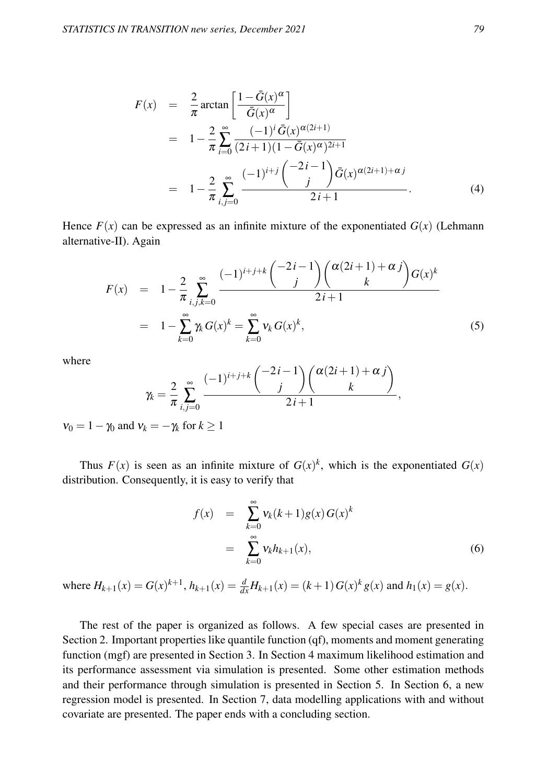$$
F(x) = \frac{2}{\pi} \arctan \left[ \frac{1 - \bar{G}(x)^{\alpha}}{\bar{G}(x)^{\alpha}} \right]
$$
  
=  $1 - \frac{2}{\pi} \sum_{i=0}^{\infty} \frac{(-1)^i \bar{G}(x)^{\alpha(2i+1)}}{(2i+1)(1 - \bar{G}(x)^{\alpha})^{2i+1}}$   
=  $1 - \frac{2}{\pi} \sum_{i,j=0}^{\infty} \frac{(-1)^{i+j} \binom{-2i-1}{j} \bar{G}(x)^{\alpha(2i+1)+\alpha j}}{2i+1}$ . (4)

Hence  $F(x)$  can be expressed as an infinite mixture of the exponentiated  $G(x)$  (Lehmann alternative-II). Again

$$
F(x) = 1 - \frac{2}{\pi} \sum_{i,j,k=0}^{\infty} \frac{(-1)^{i+j+k} {2i-1 \choose j} {(\alpha(2i+1)+\alpha j) \choose k} G(x)^k}{2i+1}
$$
  
= 
$$
1 - \sum_{k=0}^{\infty} \gamma_k G(x)^k = \sum_{k=0}^{\infty} v_k G(x)^k,
$$
 (5)

where

$$
\gamma_k = \frac{2}{\pi} \sum_{i,j=0}^{\infty} \frac{(-1)^{i+j+k} {\binom{-2i-1}{j}} {\binom{\alpha(2i+1)+\alpha j}{k}}}{2i+1},
$$

 $v_0 = 1 - \gamma_0$  and  $v_k = -\gamma_k$  for  $k \ge 1$ 

Thus  $F(x)$  is seen as an infinite mixture of  $G(x)^k$ , which is the exponentiated  $G(x)$ distribution. Consequently, it is easy to verify that

$$
f(x) = \sum_{k=0}^{\infty} v_k (k+1) g(x) G(x)^k
$$
  
= 
$$
\sum_{k=0}^{\infty} v_k h_{k+1}(x),
$$
 (6)

where  $H_{k+1}(x) = G(x)^{k+1}$ ,  $h_{k+1}(x) = \frac{d}{dx}H_{k+1}(x) = (k+1)G(x)^{k} g(x)$  and  $h_1(x) = g(x)$ .

The rest of the paper is organized as follows. A few special cases are presented in Section 2. Important properties like quantile function (qf), moments and moment generating function (mgf) are presented in Section 3. In Section 4 maximum likelihood estimation and its performance assessment via simulation is presented. Some other estimation methods and their performance through simulation is presented in Section 5. In Section 6, a new regression model is presented. In Section 7, data modelling applications with and without covariate are presented. The paper ends with a concluding section.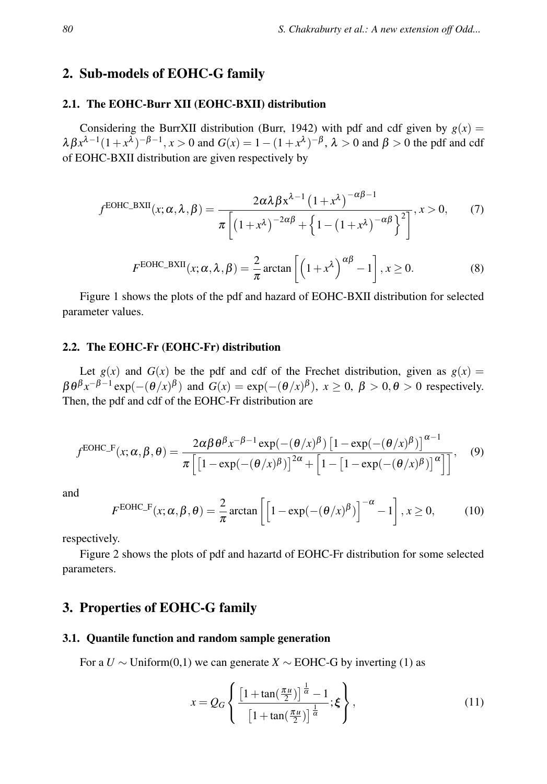## 2. Sub-models of EOHC-G family

## 2.1. The EOHC-Burr XII (EOHC-BXII) distribution

Considering the BurrXII distribution (Burr, 1942) with pdf and cdf given by  $g(x) =$  $\lambda \beta x^{\lambda-1} (1+x^{\lambda})^{-\beta-1}, x > 0$  and  $G(x) = 1 - (1+x^{\lambda})^{-\beta}, \lambda > 0$  and  $\beta > 0$  the pdf and cdf of EOHC-BXII distribution are given respectively by

$$
f^{\text{EOHC\_BXII}}(x; \alpha, \lambda, \beta) = \frac{2\alpha\lambda\beta x^{\lambda-1} (1+x^{\lambda})^{-\alpha\beta-1}}{\pi \left[ (1+x^{\lambda})^{-2\alpha\beta} + \left\{ 1 - (1+x^{\lambda})^{-\alpha\beta} \right\}^2 \right]}, x > 0,
$$
 (7)

$$
F^{\text{EOHC\_BXII}}(x;\alpha,\lambda,\beta) = \frac{2}{\pi}\arctan\left[\left(1+x^{\lambda}\right)^{\alpha\beta}-1\right], x \ge 0. \tag{8}
$$

Figure 1 shows the plots of the pdf and hazard of EOHC-BXII distribution for selected parameter values.

## 2.2. The EOHC-Fr (EOHC-Fr) distribution

Let  $g(x)$  and  $G(x)$  be the pdf and cdf of the Frechet distribution, given as  $g(x) =$  $\beta \theta^{\beta} x^{-\beta - 1} \exp(-(\theta/x)^{\beta})$  and  $G(x) = \exp(-(\theta/x)^{\beta})$ ,  $x \ge 0$ ,  $\beta > 0$ ,  $\theta > 0$  respectively. Then, the pdf and cdf of the EOHC-Fr distribution are

$$
f^{\text{EOHC\_F}}(x;\alpha,\beta,\theta) = \frac{2\alpha\beta\,\theta^{\beta}x^{-\beta-1}\exp(-(\theta/x)^{\beta})\left[1-\exp(-(\theta/x)^{\beta})\right]^{\alpha-1}}{\pi\left[\left[1-\exp(-(\theta/x)^{\beta})\right]^{2\alpha}+\left[1-\left[1-\exp(-(\theta/x)^{\beta})\right]^{\alpha}\right]\right]},\quad(9)
$$

and

$$
F^{\text{EOHC\_F}}(x; \alpha, \beta, \theta) = \frac{2}{\pi} \arctan \left[ \left[ 1 - \exp(-(\theta/x)^{\beta}) \right]^{-\alpha} - 1 \right], x \ge 0,
$$
 (10)

respectively.

Figure 2 shows the plots of pdf and hazartd of EOHC-Fr distribution for some selected parameters.

# 3. Properties of EOHC-G family

#### 3.1. Quantile function and random sample generation

For a *U* ∼ Uniform(0,1) we can generate *X* ∼ EOHC-G by inverting (1) as

$$
x = Q_G \left\{ \frac{\left[1 + \tan\left(\frac{\pi u}{2}\right)\right]^{\frac{1}{\alpha}} - 1}{\left[1 + \tan\left(\frac{\pi u}{2}\right)\right]^{\frac{1}{\alpha}}}; \xi \right\},\tag{11}
$$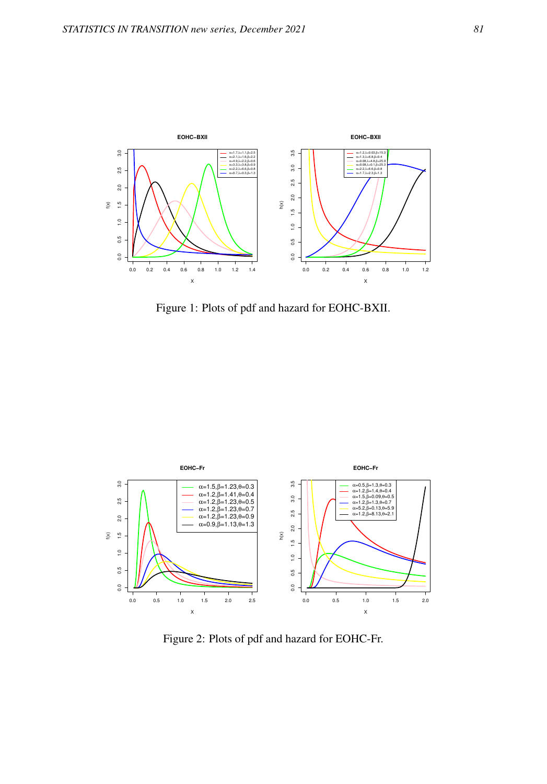

Figure 1: Plots of pdf and hazard for EOHC-BXII.



Figure 2: Plots of pdf and hazard for EOHC-Fr.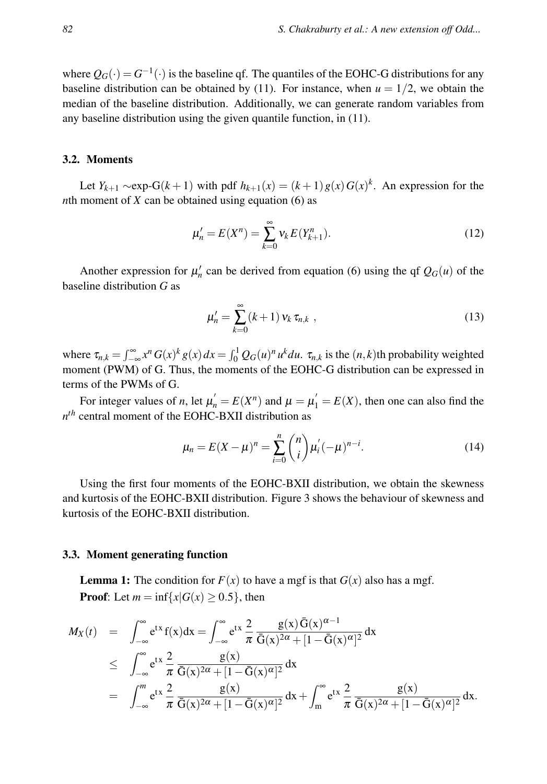where  $Q_G(\cdot) = G^{-1}(\cdot)$  is the baseline qf. The quantiles of the EOHC-G distributions for any baseline distribution can be obtained by (11). For instance, when  $u = 1/2$ , we obtain the median of the baseline distribution. Additionally, we can generate random variables from any baseline distribution using the given quantile function, in (11).

#### 3.2. Moments

Let *Y*<sub>*k*+1</sub> ∼exp-G(*k* + 1) with pdf  $h_{k+1}(x) = (k+1)g(x)G(x)^k$ . An expression for the *n*th moment of *X* can be obtained using equation (6) as

$$
\mu'_n = E(X^n) = \sum_{k=0}^{\infty} v_k E(Y_{k+1}^n).
$$
 (12)

Another expression for  $\mu'_n$  can be derived from equation (6) using the qf  $Q_G(u)$  of the baseline distribution *G* as

$$
\mu'_n = \sum_{k=0}^{\infty} (k+1) v_k \tau_{n,k} , \qquad (13)
$$

where  $\tau_{n,k} = \int_{-\infty}^{\infty} x^n G(x)^k g(x) dx = \int_0^1 Q_G(u)^n u^k du$ .  $\tau_{n,k}$  is the  $(n,k)$ th probability weighted moment (PWM) of G. Thus, the moments of the EOHC-G distribution can be expressed in terms of the PWMs of G.

For integer values of *n*, let  $\mu'_n = E(X^n)$  and  $\mu = \mu'_1 = E(X)$ , then one can also find the *n th* central moment of the EOHC-BXII distribution as

$$
\mu_n = E(X - \mu)^n = \sum_{i=0}^n \binom{n}{i} \mu'_i (-\mu)^{n-i}.
$$
 (14)

Using the first four moments of the EOHC-BXII distribution, we obtain the skewness and kurtosis of the EOHC-BXII distribution. Figure 3 shows the behaviour of skewness and kurtosis of the EOHC-BXII distribution.

## 3.3. Moment generating function

**Lemma 1:** The condition for  $F(x)$  to have a mgf is that  $G(x)$  also has a mgf. **Proof:** Let  $m = \inf\{x | G(x) \ge 0.5\}$ , then

$$
M_X(t) = \int_{-\infty}^{\infty} e^{tx} f(x) dx = \int_{-\infty}^{\infty} e^{tx} \frac{2}{\pi} \frac{g(x) \bar{G}(x)^{\alpha-1}}{\bar{G}(x)^{2\alpha} + [1 - \bar{G}(x)^{\alpha}]^2} dx
$$
  
\n
$$
\leq \int_{-\infty}^{\infty} e^{tx} \frac{2}{\pi} \frac{g(x)}{\bar{G}(x)^{2\alpha} + [1 - \bar{G}(x)^{\alpha}]^2} dx
$$
  
\n
$$
= \int_{-\infty}^{m} e^{tx} \frac{2}{\pi} \frac{g(x)}{\bar{G}(x)^{2\alpha} + [1 - \bar{G}(x)^{\alpha}]^2} dx + \int_{m}^{\infty} e^{tx} \frac{2}{\pi} \frac{g(x)}{\bar{G}(x)^{2\alpha} + [1 - \bar{G}(x)^{\alpha}]^2} dx.
$$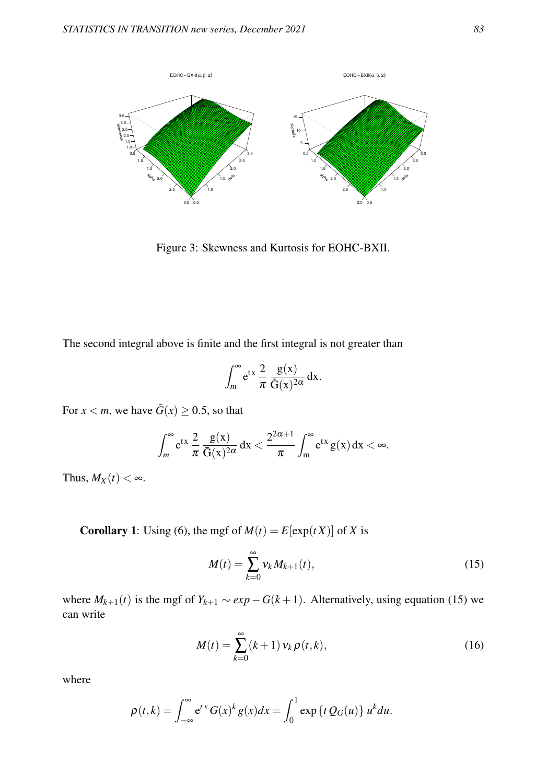

Figure 3: Skewness and Kurtosis for EOHC-BXII.

The second integral above is finite and the first integral is not greater than

$$
\int_{m}^{\infty} e^{tx} \frac{2}{\pi} \frac{g(x)}{\bar{G}(x)^{2\alpha}} dx.
$$

For  $x < m$ , we have  $\bar{G}(x) \ge 0.5$ , so that

$$
\int_{m}^{\infty} e^{tx} \frac{2}{\pi} \frac{g(x)}{\bar{G}(x)^{2\alpha}} dx < \frac{2^{2\alpha+1}}{\pi} \int_{m}^{\infty} e^{tx} g(x) dx < \infty.
$$

Thus,  $M_X(t) < \infty$ .

**Corollary 1:** Using (6), the mgf of  $M(t) = E[\exp(tX)]$  of *X* is

$$
M(t) = \sum_{k=0}^{\infty} v_k M_{k+1}(t),
$$
\n(15)

where  $M_{k+1}(t)$  is the mgf of  $Y_{k+1} \sim exp-G(k+1)$ . Alternatively, using equation (15) we can write

$$
M(t) = \sum_{k=0}^{\infty} (k+1) v_k \rho(t,k),
$$
 (16)

where

$$
\rho(t,k) = \int_{-\infty}^{\infty} e^{tx} G(x)^k g(x) dx = \int_0^1 \exp\left\{t Q_G(u)\right\} u^k du.
$$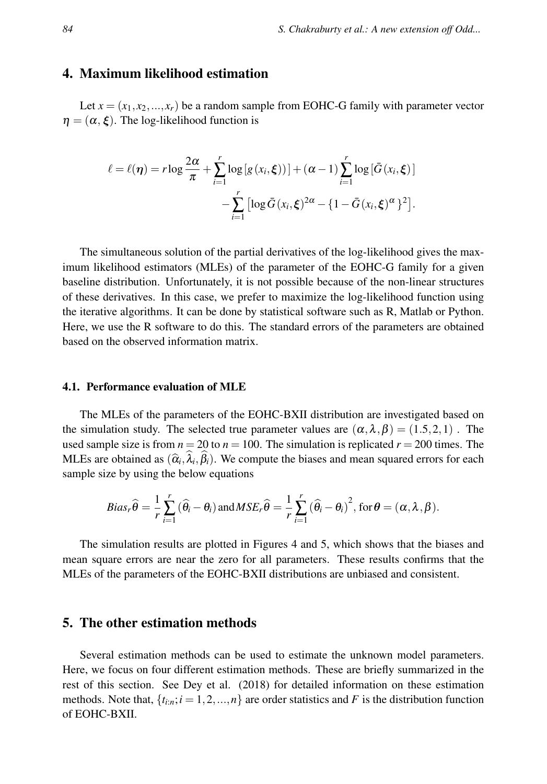## 4. Maximum likelihood estimation

Let  $x = (x_1, x_2, ..., x_r)$  be a random sample from EOHC-G family with parameter vector  $\eta = (\alpha, \xi)$ . The log-likelihood function is

$$
\ell = \ell(\boldsymbol{\eta}) = r \log \frac{2\alpha}{\pi} + \sum_{i=1}^r \log \left[g(x_i, \boldsymbol{\xi})\right] + (\alpha - 1) \sum_{i=1}^r \log \left[\bar{G}(x_i, \boldsymbol{\xi})\right] - \sum_{i=1}^r \left[\log \bar{G}(x_i, \boldsymbol{\xi})^{2\alpha} - \left\{1 - \bar{G}(x_i, \boldsymbol{\xi})^{\alpha}\right\}^2\right].
$$

The simultaneous solution of the partial derivatives of the log-likelihood gives the maximum likelihood estimators (MLEs) of the parameter of the EOHC-G family for a given baseline distribution. Unfortunately, it is not possible because of the non-linear structures of these derivatives. In this case, we prefer to maximize the log-likelihood function using the iterative algorithms. It can be done by statistical software such as R, Matlab or Python. Here, we use the R software to do this. The standard errors of the parameters are obtained based on the observed information matrix.

#### 4.1. Performance evaluation of MLE

The MLEs of the parameters of the EOHC-BXII distribution are investigated based on the simulation study. The selected true parameter values are  $(\alpha, \lambda, \beta) = (1.5, 2, 1)$ . The used sample size is from  $n = 20$  to  $n = 100$ . The simulation is replicated  $r = 200$  times. The MLEs are obtained as  $(\hat{\alpha}_i, \lambda_i, \beta_i)$ . We compute the biases and mean squared errors for each sensula size by using the helpsy equations sample size by using the below equations

$$
Bias_r\widehat{\theta} = \frac{1}{r} \sum_{i=1}^r (\widehat{\theta}_i - \theta_i) \text{ and } MSE_r\widehat{\theta} = \frac{1}{r} \sum_{i=1}^r (\widehat{\theta}_i - \theta_i)^2, \text{ for } \theta = (\alpha, \lambda, \beta).
$$

The simulation results are plotted in Figures 4 and 5, which shows that the biases and mean square errors are near the zero for all parameters. These results confirms that the MLEs of the parameters of the EOHC-BXII distributions are unbiased and consistent.

## 5. The other estimation methods

Several estimation methods can be used to estimate the unknown model parameters. Here, we focus on four different estimation methods. These are briefly summarized in the rest of this section. See Dey et al. (2018) for detailed information on these estimation methods. Note that,  $\{t_{i:n}; i = 1, 2, ..., n\}$  are order statistics and *F* is the distribution function of EOHC-BXII.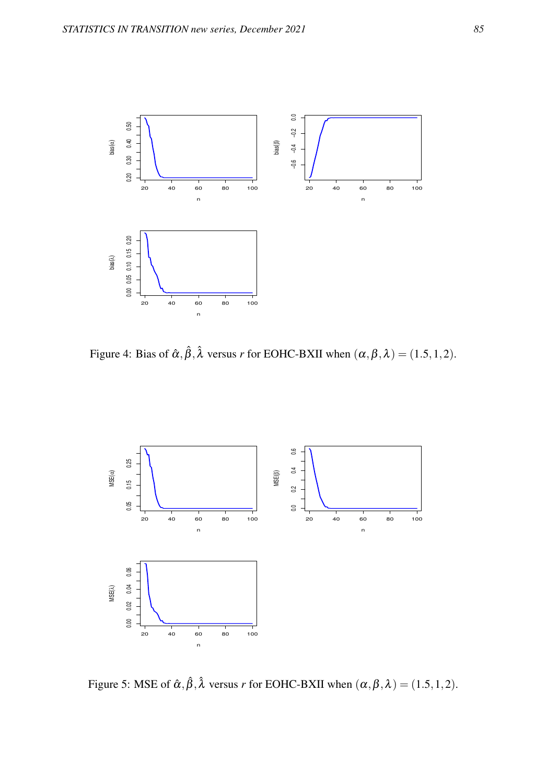

Figure 4: Bias of  $\hat{\alpha}, \hat{\beta}, \hat{\lambda}$  versus *r* for EOHC-BXII when  $(\alpha, \beta, \lambda) = (1.5, 1, 2)$ .



Figure 5: MSE of  $\hat{\alpha}, \hat{\beta}, \hat{\lambda}$  versus *r* for EOHC-BXII when  $(\alpha, \beta, \lambda) = (1.5, 1, 2)$ .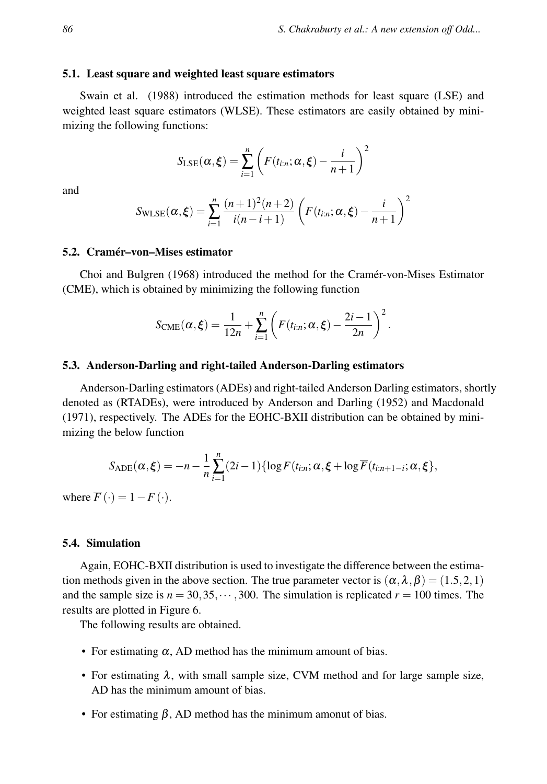#### 5.1. Least square and weighted least square estimators

Swain et al. (1988) introduced the estimation methods for least square (LSE) and weighted least square estimators (WLSE). These estimators are easily obtained by minimizing the following functions:

$$
S_{\text{LSE}}(\alpha, \xi) = \sum_{i=1}^{n} \left( F(t_{i:n}; \alpha, \xi) - \frac{i}{n+1} \right)^2
$$

and

$$
S_{\text{WLSE}}(\alpha, \xi) = \sum_{i=1}^{n} \frac{(n+1)^2(n+2)}{i(n-i+1)} \left( F(t_{i:n}; \alpha, \xi) - \frac{i}{n+1} \right)^2
$$

#### 5.2. Cramér–von–Mises estimator

Choi and Bulgren (1968) introduced the method for the Cramér-von-Mises Estimator (CME), which is obtained by minimizing the following function

$$
S_{\text{CME}}(\alpha,\xi) = \frac{1}{12n} + \sum_{i=1}^{n} \left( F(t_{i:n}; \alpha, \xi) - \frac{2i-1}{2n} \right)^2.
$$

#### 5.3. Anderson-Darling and right-tailed Anderson-Darling estimators

Anderson-Darling estimators (ADEs) and right-tailed Anderson Darling estimators, shortly denoted as (RTADEs), were introduced by Anderson and Darling (1952) and Macdonald (1971), respectively. The ADEs for the EOHC-BXII distribution can be obtained by minimizing the below function

$$
S_{ADE}(\alpha, \xi) = -n - \frac{1}{n} \sum_{i=1}^{n} (2i-1) \{ \log F(t_{i:n}; \alpha, \xi + \log \overline{F}(t_{i:n+1-i}; \alpha, \xi) \},
$$

where  $\overline{F}(\cdot) = 1 - F(\cdot)$ .

#### 5.4. Simulation

Again, EOHC-BXII distribution is used to investigate the difference between the estimation methods given in the above section. The true parameter vector is  $(\alpha, \lambda, \beta) = (1.5, 2, 1)$ and the sample size is  $n = 30,35,\dots,300$ . The simulation is replicated  $r = 100$  times. The results are plotted in Figure 6.

The following results are obtained.

- For estimating  $\alpha$ , AD method has the minimum amount of bias.
- For estimating  $\lambda$ , with small sample size, CVM method and for large sample size, AD has the minimum amount of bias.
- For estimating  $\beta$ , AD method has the minimum amonut of bias.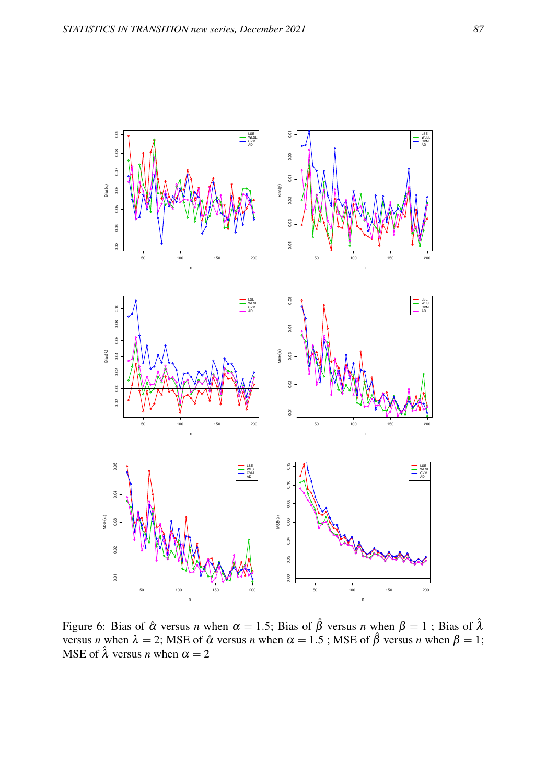

Figure 6: Bias of  $\hat{\alpha}$  versus *n* when  $\alpha = 1.5$ ; Bias of  $\hat{\beta}$  versus *n* when  $\beta = 1$ ; Bias of  $\hat{\lambda}$ versus *n* when  $\lambda = 2$ ; MSE of  $\hat{\alpha}$  versus *n* when  $\alpha = 1.5$ ; MSE of  $\hat{\beta}$  versus *n* when  $\beta = 1$ ; MSE of  $\hat{\lambda}$  versus *n* when  $\alpha = 2$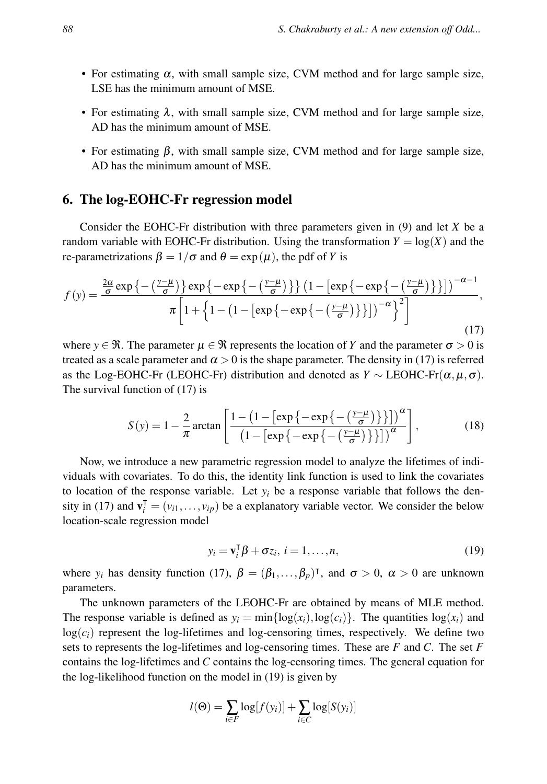- For estimating  $\alpha$ , with small sample size, CVM method and for large sample size, LSE has the minimum amount of MSE.
- For estimating  $\lambda$ , with small sample size, CVM method and for large sample size, AD has the minimum amount of MSE.
- For estimating  $\beta$ , with small sample size, CVM method and for large sample size, AD has the minimum amount of MSE.

## 6. The log-EOHC-Fr regression model

Consider the EOHC-Fr distribution with three parameters given in (9) and let *X* be a random variable with EOHC-Fr distribution. Using the transformation  $Y = \log(X)$  and the re-parametrizations  $\beta = 1/\sigma$  and  $\theta = \exp(\mu)$ , the pdf of *Y* is

$$
f(y) = \frac{\frac{2\alpha}{\sigma} \exp\left\{-\left(\frac{y-\mu}{\sigma}\right)\right\} \exp\left\{-\exp\left\{-\left(\frac{y-\mu}{\sigma}\right)\right\}\right\} \left(1 - \left[\exp\left\{-\exp\left\{-\left(\frac{y-\mu}{\sigma}\right)\right\}\right]\right)\right)^{-\alpha-1}}{\pi \left[1 + \left\{1 - \left(1 - \left[\exp\left\{-\exp\left\{-\left(\frac{y-\mu}{\sigma}\right)\right\}\right\}\right]\right)^{-\alpha}\right\}^2\right]},
$$
\n(17)

where  $y \in \mathcal{R}$ . The parameter  $\mu \in \mathcal{R}$  represents the location of *Y* and the parameter  $\sigma > 0$  is treated as a scale parameter and  $\alpha > 0$  is the shape parameter. The density in (17) is referred as the Log-EOHC-Fr (LEOHC-Fr) distribution and denoted as  $Y \sim \text{LEOHC-Fr}(\alpha, \mu, \sigma)$ . The survival function of (17) is

$$
S(y) = 1 - \frac{2}{\pi} \arctan\left[\frac{1 - \left(1 - \left[\exp\left\{-\exp\left\{-\left(\frac{y-\mu}{\sigma}\right)\right\}\right\}\right]\right)^{\alpha}}{\left(1 - \left[\exp\left\{-\exp\left\{-\left(\frac{y-\mu}{\sigma}\right)\right\}\right\}\right]\right)^{\alpha}}\right],
$$
(18)

Now, we introduce a new parametric regression model to analyze the lifetimes of individuals with covariates. To do this, the identity link function is used to link the covariates to location of the response variable. Let  $y_i$  be a response variable that follows the density in (17) and  $\mathbf{v}_i^{\mathsf{T}} = (v_{i1}, \dots, v_{ip})$  be a explanatory variable vector. We consider the below location-scale regression model

$$
y_i = \mathbf{v}_i^{\mathsf{T}} \boldsymbol{\beta} + \sigma z_i, \ i = 1, \dots, n,
$$
\n(19)

where  $y_i$  has density function (17),  $\beta = (\beta_1, \ldots, \beta_p)^\dagger$ , and  $\sigma > 0$ ,  $\alpha > 0$  are unknown parameters.

The unknown parameters of the LEOHC-Fr are obtained by means of MLE method. The response variable is defined as  $y_i = \min\{\log(x_i), \log(c_i)\}\$ . The quantities  $\log(x_i)$  and  $log(c_i)$  represent the log-lifetimes and log-censoring times, respectively. We define two sets to represents the log-lifetimes and log-censoring times. These are *F* and *C*. The set *F* contains the log-lifetimes and *C* contains the log-censoring times. The general equation for the log-likelihood function on the model in (19) is given by

$$
l(\Theta) = \sum_{i \in F} \log[f(y_i)] + \sum_{i \in C} \log[S(y_i)]
$$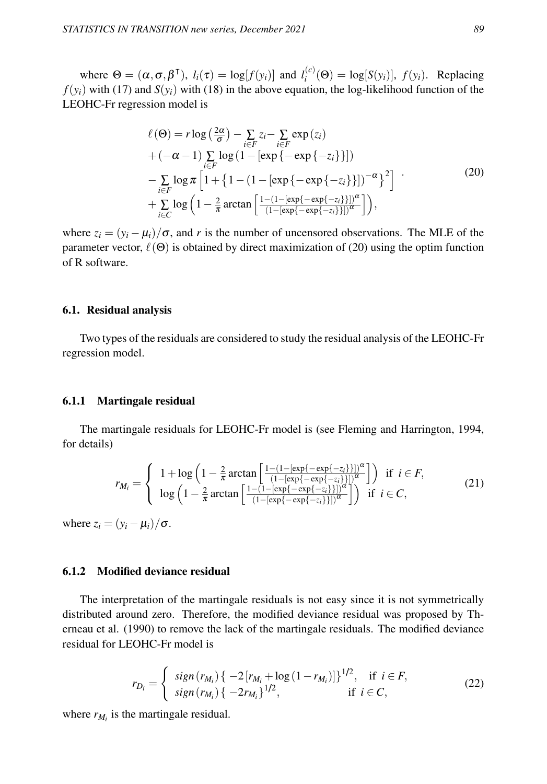where  $\Theta = (\alpha, \sigma, \beta^{\mathsf{T}}), l_i(\tau) = \log[f(y_i)]$  and  $l_i^{(c)}$  $f_i^{(c)}(\Theta) = \log[S(y_i)], f(y_i)$ . Replacing  $f(y_i)$  with (17) and  $S(y_i)$  with (18) in the above equation, the log-likelihood function of the LEOHC-Fr regression model is

$$
\ell(\Theta) = r \log \left(\frac{2\alpha}{\sigma}\right) - \sum_{i \in F} z_i - \sum_{i \in F} \exp(z_i)
$$
  
+ 
$$
(-\alpha - 1) \sum_{i \in F} \log \left(1 - [\exp\{-\exp\{-z_i\} \}])\right)
$$
  
- 
$$
\sum_{i \in F} \log \pi \left[1 + \left\{1 - (1 - [\exp\{-\exp\{-z_i\} \}])^{-\alpha}\right\}^2\right] \cdot
$$
  
+ 
$$
\sum_{i \in C} \log \left(1 - \frac{2}{\pi} \arctan \left[\frac{1 - (1 - [\exp\{-\exp\{-z_i\} \}])^{\alpha}}{(1 - [\exp\{-\exp\{-z_i\} \}])^{\alpha}}\right]\right),
$$
 (20)

where  $z_i = (y_i - \mu_i)/\sigma$ , and *r* is the number of uncensored observations. The MLE of the parameter vector,  $\ell(\Theta)$  is obtained by direct maximization of (20) using the optim function of R software.

#### 6.1. Residual analysis

Two types of the residuals are considered to study the residual analysis of the LEOHC-Fr regression model.

#### 6.1.1 Martingale residual

The martingale residuals for LEOHC-Fr model is (see Fleming and Harrington, 1994, for details)

$$
r_{M_i} = \begin{cases} 1 + \log\left(1 - \frac{2}{\pi}\arctan\left[\frac{1 - (1 - [\exp\{-\exp\{-z_i\}}])]^{\alpha}}{(1 - [\exp\{-\exp\{-z_i\}}])]^{\alpha}}\right]\right) & \text{if } i \in F, \\ \log\left(1 - \frac{2}{\pi}\arctan\left[\frac{1 - (1 - [\exp\{-\exp\{-z_i\}}])]^{\alpha}}{(1 - [\exp\{-\exp\{-z_i\}}])]^{\alpha}}\right] & \text{if } i \in C, \end{cases}
$$
(21)

where  $z_i = (y_i - \mu_i)/\sigma$ .

### 6.1.2 Modified deviance residual

The interpretation of the martingale residuals is not easy since it is not symmetrically distributed around zero. Therefore, the modified deviance residual was proposed by Therneau et al. (1990) to remove the lack of the martingale residuals. The modified deviance residual for LEOHC-Fr model is

$$
r_{D_i} = \begin{cases} sign(r_{M_i}) \{ -2[r_{M_i} + \log(1 - r_{M_i})] \}^{1/2}, & \text{if } i \in F, \\ sign(r_{M_i}) \{ -2r_{M_i} \}^{1/2}, & \text{if } i \in C, \end{cases}
$$
(22)

where  $r_{M_i}$  is the martingale residual.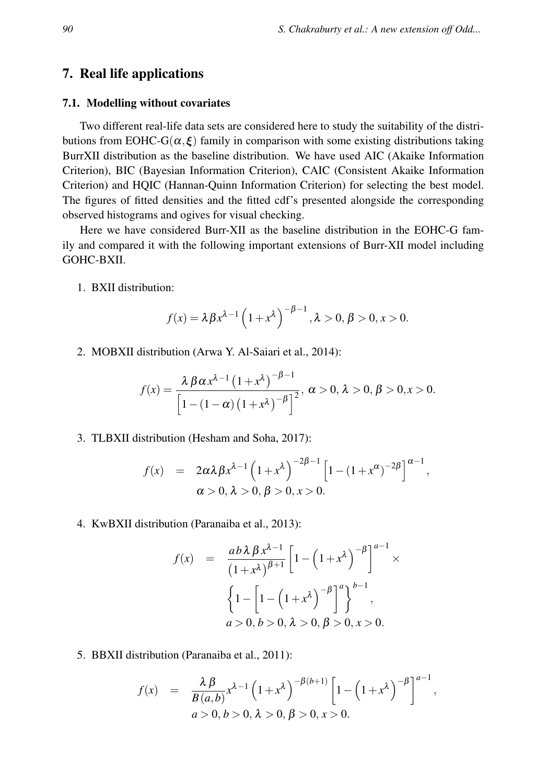## 7. Real life applications

#### 7.1. Modelling without covariates

Two different real-life data sets are considered here to study the suitability of the distributions from EOHC-G( $\alpha, \xi$ ) family in comparison with some existing distributions taking BurrXII distribution as the baseline distribution. We have used AIC (Akaike Information Criterion), BIC (Bayesian Information Criterion), CAIC (Consistent Akaike Information Criterion) and HQIC (Hannan-Quinn Information Criterion) for selecting the best model. The figures of fitted densities and the fitted cdf's presented alongside the corresponding observed histograms and ogives for visual checking.

Here we have considered Burr-XII as the baseline distribution in the EOHC-G family and compared it with the following important extensions of Burr-XII model including GOHC-BXII.

1. BXII distribution:

$$
f(x) = \lambda \beta x^{\lambda - 1} \left( 1 + x^{\lambda} \right)^{-\beta - 1}, \lambda > 0, \beta > 0, x > 0.
$$

2. MOBXII distribution (Arwa Y. Al-Saiari et al., 2014):

$$
f(x) = \frac{\lambda \beta \alpha x^{\lambda - 1} (1 + x^{\lambda})^{-\beta - 1}}{\left[1 - (1 - \alpha) (1 + x^{\lambda})^{-\beta}\right]^2}, \ \alpha > 0, \ \lambda > 0, \ \beta > 0, x > 0.
$$

3. TLBXII distribution (Hesham and Soha, 2017):

$$
f(x) = 2\alpha\lambda\beta x^{\lambda-1} (1+x^{\lambda})^{-2\beta-1} [1-(1+x^{\alpha})^{-2\beta}]^{\alpha-1},
$$
  
  $\alpha > 0, \lambda > 0, \beta > 0, x > 0.$ 

4. KwBXII distribution (Paranaiba et al., 2013):

$$
f(x) = \frac{ab \lambda \beta x^{\lambda - 1}}{(1 + x^{\lambda})^{\beta + 1}} \left[ 1 - \left( 1 + x^{\lambda} \right)^{-\beta} \right]^{a - 1} \times \left\{ 1 - \left[ 1 - \left( 1 + x^{\lambda} \right)^{-\beta} \right]^a \right\}^{b - 1},
$$
  
\n $a > 0, b > 0, \lambda > 0, \beta > 0, x > 0.$ 

5. BBXII distribution (Paranaiba et al., 2011):

$$
f(x) = \frac{\lambda \beta}{B(a,b)} x^{\lambda - 1} \left( 1 + x^{\lambda} \right)^{-\beta(b+1)} \left[ 1 - \left( 1 + x^{\lambda} \right)^{-\beta} \right]^{a-1},
$$
  
  $a > 0, b > 0, \lambda > 0, \beta > 0, x > 0.$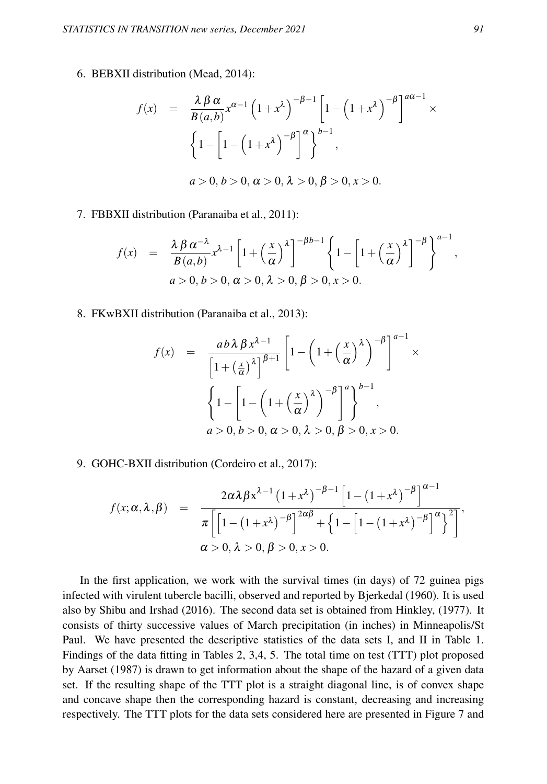6. BEBXII distribution (Mead, 2014):

$$
f(x) = \frac{\lambda \beta \alpha}{B(a,b)} x^{\alpha-1} \left(1+x^{\lambda}\right)^{-\beta-1} \left[1-\left(1+x^{\lambda}\right)^{-\beta}\right]^{\alpha \alpha-1} \times
$$

$$
\left\{1-\left[1-\left(1+x^{\lambda}\right)^{-\beta}\right]^{\alpha}\right\}^{b-1},
$$

$$
a>0, b>0, \alpha>0, \lambda>0, \beta>0, x>0.
$$

#### 7. FBBXII distribution (Paranaiba et al., 2011):

$$
f(x) = \frac{\lambda \beta \alpha^{-\lambda}}{B(a,b)} x^{\lambda-1} \left[ 1 + \left(\frac{x}{\alpha}\right)^{\lambda} \right]^{-\beta b - 1} \left\{ 1 - \left[ 1 + \left(\frac{x}{\alpha}\right)^{\lambda} \right]^{-\beta} \right\}^{a - 1},
$$
  
\n
$$
a > 0, b > 0, \alpha > 0, \lambda > 0, \beta > 0, x > 0.
$$

8. FKwBXII distribution (Paranaiba et al., 2013):

$$
f(x) = \frac{ab \lambda \beta x^{\lambda - 1}}{\left[1 + \left(\frac{x}{\alpha}\right)^{\lambda}\right]^{\beta + 1}} \left[1 - \left(1 + \left(\frac{x}{\alpha}\right)^{\lambda}\right)^{-\beta}\right]^{\alpha - 1} \times \left\{1 - \left[1 - \left(1 + \left(\frac{x}{\alpha}\right)^{\lambda}\right)^{-\beta}\right]^{\alpha}\right\}^{b - 1},
$$
  
\n $a > 0, b > 0, \alpha > 0, \lambda > 0, \beta > 0, x > 0.$ 

9. GOHC-BXII distribution (Cordeiro et al., 2017):

$$
f(x; \alpha, \lambda, \beta) = \frac{2\alpha\lambda\beta x^{\lambda-1} (1+x^{\lambda})^{-\beta-1} [1-(1+x^{\lambda})^{-\beta}]^{\alpha-1}}{\pi \left[ \left[ 1-(1+x^{\lambda})^{-\beta} \right]^{2\alpha\beta} + \left\{ 1-\left[ 1-(1+x^{\lambda})^{-\beta} \right]^\alpha \right\}^2 \right]},
$$
  

$$
\alpha > 0, \lambda > 0, \beta > 0, x > 0.
$$

In the first application, we work with the survival times (in days) of 72 guinea pigs infected with virulent tubercle bacilli, observed and reported by Bjerkedal (1960). It is used also by Shibu and Irshad (2016). The second data set is obtained from Hinkley, (1977). It consists of thirty successive values of March precipitation (in inches) in Minneapolis/St Paul. We have presented the descriptive statistics of the data sets I, and II in Table 1. Findings of the data fitting in Tables 2, 3,4, 5. The total time on test (TTT) plot proposed by Aarset (1987) is drawn to get information about the shape of the hazard of a given data set. If the resulting shape of the TTT plot is a straight diagonal line, is of convex shape and concave shape then the corresponding hazard is constant, decreasing and increasing respectively. The TTT plots for the data sets considered here are presented in Figure 7 and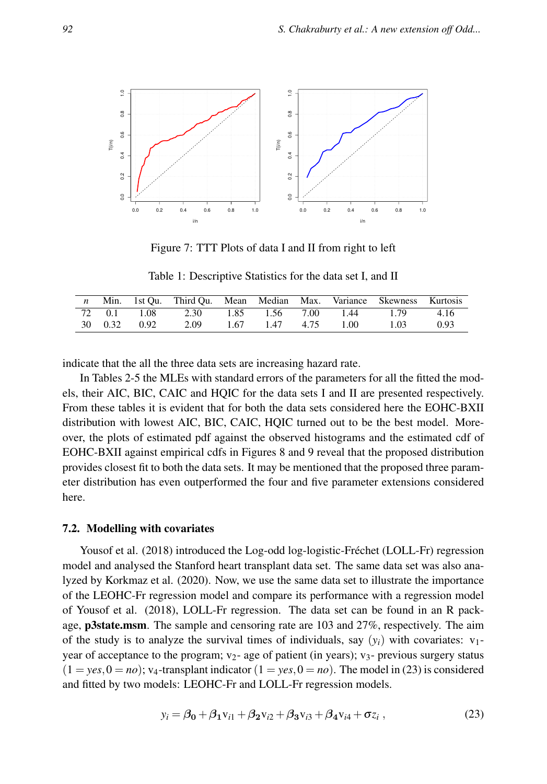

Figure 7: TTT Plots of data I and II from right to left

Table 1: Descriptive Statistics for the data set I, and II

|  |              | n Min. 1st Qu. Third Qu. Mean Median Max. Variance Skewness Kurtosis |                |      |      |      |
|--|--------------|----------------------------------------------------------------------|----------------|------|------|------|
|  |              | 72  0.1  1.08  2.30  1.85  1.56  7.00  1.44                          |                |      | 1.79 | 4.16 |
|  | 30 0.32 0.92 | 2.09                                                                 | 1.67 1.47 4.75 | 1.00 | 1.03 | 0.93 |

indicate that the all the three data sets are increasing hazard rate.

In Tables 2-5 the MLEs with standard errors of the parameters for all the fitted the models, their AIC, BIC, CAIC and HQIC for the data sets I and II are presented respectively. From these tables it is evident that for both the data sets considered here the EOHC-BXII distribution with lowest AIC, BIC, CAIC, HQIC turned out to be the best model. Moreover, the plots of estimated pdf against the observed histograms and the estimated cdf of EOHC-BXII against empirical cdfs in Figures 8 and 9 reveal that the proposed distribution provides closest fit to both the data sets. It may be mentioned that the proposed three parameter distribution has even outperformed the four and five parameter extensions considered here.

#### 7.2. Modelling with covariates

Yousof et al. (2018) introduced the Log-odd log-logistic-Fréchet (LOLL-Fr) regression model and analysed the Stanford heart transplant data set. The same data set was also analyzed by Korkmaz et al. (2020). Now, we use the same data set to illustrate the importance of the LEOHC-Fr regression model and compare its performance with a regression model of Yousof et al. (2018), LOLL-Fr regression. The data set can be found in an R package, p3state.msm. The sample and censoring rate are 103 and 27%, respectively. The aim of the study is to analyze the survival times of individuals, say  $(y_i)$  with covariates:  $v_1$ year of acceptance to the program;  $v_{2}$ - age of patient (in years);  $v_{3}$ - previous surgery status  $(1 = \text{yes}, 0 = \text{no})$ ; v<sub>4</sub>-transplant indicator  $(1 = \text{yes}, 0 = \text{no})$ . The model in (23) is considered and fitted by two models: LEOHC-Fr and LOLL-Fr regression models.

$$
y_i = \beta_0 + \beta_1 v_{i1} + \beta_2 v_{i2} + \beta_3 v_{i3} + \beta_4 v_{i4} + \sigma z_i ,
$$
 (23)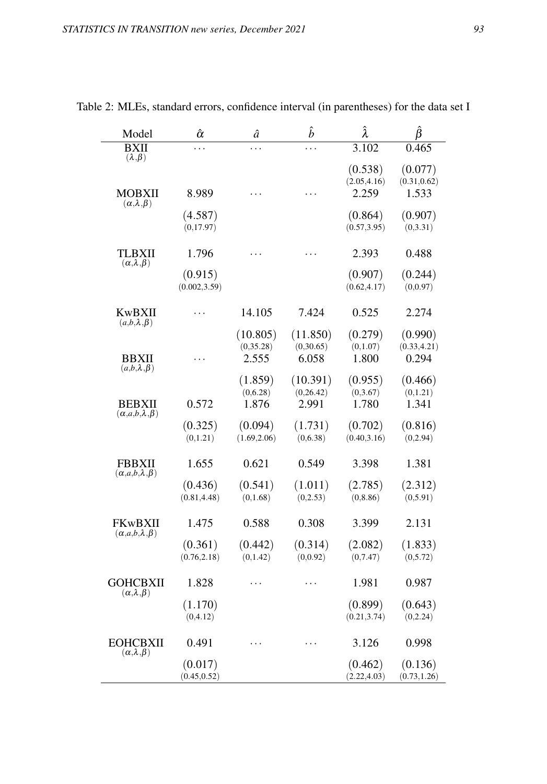| Model                                         | $\hat{\alpha}$           | â                               | $\hat{b}$                      | Â                                | Ĝ                                |
|-----------------------------------------------|--------------------------|---------------------------------|--------------------------------|----------------------------------|----------------------------------|
| <b>BXII</b><br>$(\lambda, \beta)$             | .                        | .                               | .                              | 3.102                            | 0.465                            |
| MOBXII                                        | 8.989                    | .                               | $\ddot{\phantom{0}}$           | (0.538)<br>(2.05, 4.16)<br>2.259 | (0.077)<br>(0.31, 0.62)<br>1.533 |
| $(\alpha, \lambda, \beta)$                    | (4.587)<br>(0,17.97)     |                                 |                                | (0.864)<br>(0.57, 3.95)          | (0.907)<br>(0,3.31)              |
| TLBXII<br>$(\alpha, \lambda, \beta)$          | 1.796                    | .                               |                                | 2.393                            | 0.488                            |
|                                               | (0.915)<br>(0.002, 3.59) |                                 |                                | (0.907)<br>(0.62, 4.17)          | (0.244)<br>(0,0.97)              |
| <b>KwBXII</b><br>$(a,b,\lambda,\beta)$        | .                        | 14.105                          | 7.424                          | 0.525                            | 2.274                            |
| <b>BBXII</b><br>$(a,b,\lambda,\beta)$         | .                        | (10.805)<br>(0, 35.28)<br>2.555 | (11.850)<br>(0,30.65)<br>6.058 | (0.279)<br>(0, 1.07)<br>1.800    | (0.990)<br>(0.33, 4.21)<br>0.294 |
| <b>BEBXII</b><br>$(\alpha,a,b,\lambda,\beta)$ | 0.572                    | (1.859)<br>(0,6.28)<br>1.876    | (10.391)<br>(0,26.42)<br>2.991 | (0.955)<br>(0, 3.67)<br>1.780    | (0.466)<br>(0, 1.21)<br>1.341    |
|                                               | (0.325)<br>(0, 1.21)     | (0.094)<br>(1.69, 2.06)         | (1.731)<br>(0,6.38)            | (0.702)<br>(0.40, 3.16)          | (0.816)<br>(0, 2.94)             |
| <b>FBBXII</b><br>$(\alpha,a,b,\lambda,\beta)$ | 1.655                    | 0.621                           | 0.549                          | 3.398                            | 1.381                            |
|                                               | (0.436)<br>(0.81, 4.48)  | (0.541)<br>(0, 1.68)            | (1.011)<br>(0,2.53)            | (2.785)<br>(0, 8.86)             | (2.312)<br>(0, 5.91)             |
| FKwBXII<br>$(\alpha,a,b,\lambda,\beta)$       | 1.475                    | 0.588                           | 0.308                          | 3.399                            | 2.131                            |
|                                               | (0.361)<br>(0.76, 2.18)  | (0.442)<br>(0,1.42)             | (0.314)<br>(0, 0.92)           | (2.082)<br>(0,7.47)              | (1.833)<br>(0,5.72)              |
| <b>GOHCBXII</b><br>$(\alpha, \lambda, \beta)$ | 1.828                    | .                               | .                              | 1.981                            | 0.987                            |
|                                               | (1.170)<br>(0,4.12)      |                                 |                                | (0.899)<br>(0.21, 3.74)          | (0.643)<br>(0, 2.24)             |
| <b>EOHCBXII</b><br>$(\alpha, \lambda, \beta)$ | 0.491                    | .                               | .                              | 3.126                            | 0.998                            |
|                                               | (0.017)<br>(0.45, 0.52)  |                                 |                                | (0.462)<br>(2.22, 4.03)          | (0.136)<br>(0.73, 1.26)          |

Table 2: MLEs, standard errors, confidence interval (in parentheses) for the data set I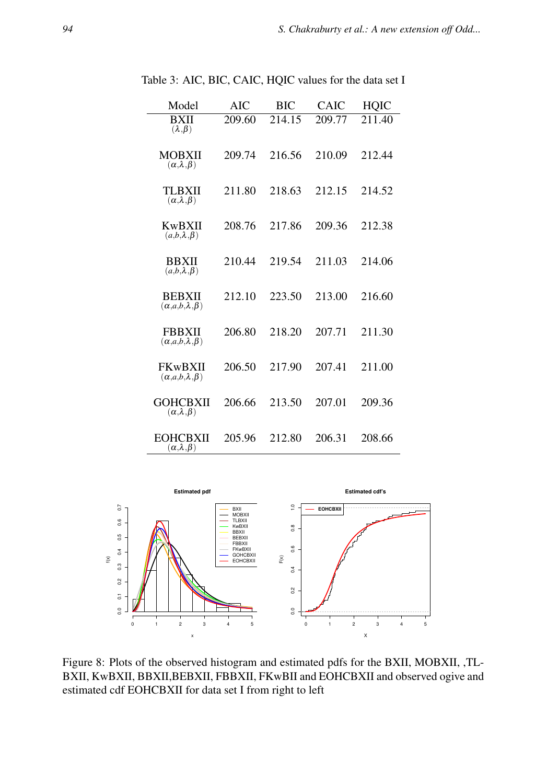| Model                                             | AIC    | <b>BIC</b> | CAIC   | HQIC   |
|---------------------------------------------------|--------|------------|--------|--------|
| <b>BXII</b><br>$(\lambda, \beta)$                 | 209.60 | 214.15     | 209.77 | 211.40 |
| <b>MOBXII</b><br>$(\alpha, \lambda, \beta)$       | 209.74 | 216.56     | 210.09 | 212.44 |
| TLBXII<br>$(\alpha, \lambda, \beta)$              | 211.80 | 218.63     | 212.15 | 214.52 |
| KwBXII<br>$(a,b,\lambda,\beta)$                   | 208.76 | 217.86     | 209.36 | 212.38 |
| <b>BBXII</b><br>$(a,b,\lambda,\beta)$             | 210.44 | 219.54     | 211.03 | 214.06 |
| <b>BEBXII</b><br>$(\alpha, a, b, \lambda, \beta)$ | 212.10 | 223.50     | 213.00 | 216.60 |
| <b>FBBXII</b><br>$(\alpha, a, b, \lambda, \beta)$ | 206.80 | 218.20     | 207.71 | 211.30 |
| FKwBXII<br>$(\alpha, a, b, \lambda, \beta)$       | 206.50 | 217.90     | 207.41 | 211.00 |
| <b>GOHCBXII</b><br>$(\alpha, \lambda, \beta)$     | 206.66 | 213.50     | 207.01 | 209.36 |
| EOHCBXII<br>$(\alpha, \lambda, \beta)$            | 205.96 | 212.80     | 206.31 | 208.66 |

Table 3: AIC, BIC, CAIC, HQIC values for the data set I



Figure 8: Plots of the observed histogram and estimated pdfs for the BXII, MOBXII, ,TL-BXII, KwBXII, BBXII, BEBXII, FBBXII, FKwBII and EOHCBXII and observed ogive and estimated cdf EOHCBXII for data set I from right to left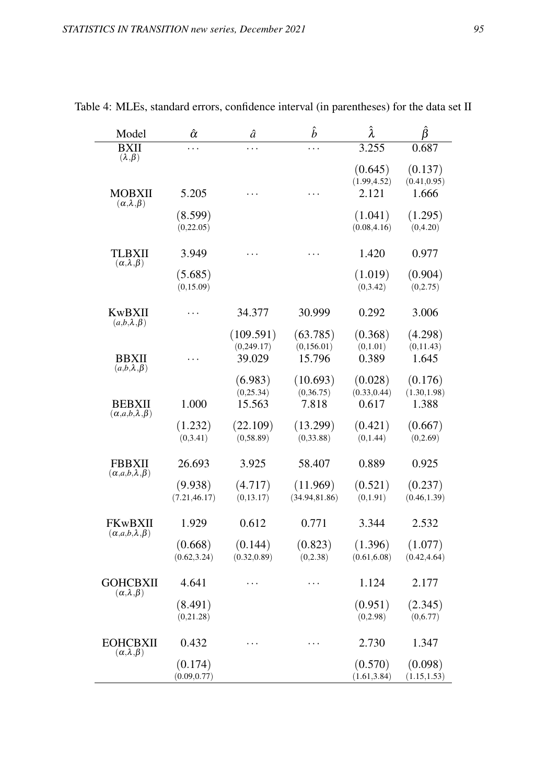| Model                                         | $\hat{\alpha}$ | â            | $\hat{b}$      | Â            | β            |
|-----------------------------------------------|----------------|--------------|----------------|--------------|--------------|
| <b>BXII</b><br>$(\lambda, \beta)$             | .              | .            | .              | 3.255        | 0.687        |
|                                               |                |              |                | (0.645)      | (0.137)      |
|                                               |                |              |                | (1.99, 4.52) | (0.41, 0.95) |
| MOBXII<br>$(\alpha, \lambda, \beta)$          | 5.205          | .            | .              | 2.121        | 1.666        |
|                                               | (8.599)        |              |                | (1.041)      | (1.295)      |
|                                               | (0, 22.05)     |              |                | (0.08, 4.16) | (0,4.20)     |
| TLBXII<br>$(\alpha, \lambda, \beta)$          | 3.949          | .            | .              | 1.420        | 0.977        |
|                                               | (5.685)        |              |                | (1.019)      | (0.904)      |
|                                               | (0, 15.09)     |              |                | (0,3.42)     | (0,2.75)     |
| KwBXII<br>$(a,b,\lambda,\beta)$               | .              | 34.377       | 30.999         | 0.292        | 3.006        |
|                                               |                | (109.591)    | (63.785)       | (0.368)      | (4.298)      |
|                                               |                | (0, 249.17)  | (0,156.01)     | (0,1.01)     | (0, 11.43)   |
| <b>BBXII</b><br>$(a,b,\lambda,\beta)$         | .              | 39.029       | 15.796         | 0.389        | 1.645        |
|                                               |                | (6.983)      | (10.693)       | (0.028)      | (0.176)      |
|                                               |                | (0, 25.34)   | (0, 36.75)     | (0.33, 0.44) | (1.30, 1.98) |
| <b>BEBXII</b><br>$(\alpha,a,b,\lambda,\beta)$ | 1.000          | 15.563       | 7.818          | 0.617        | 1.388        |
|                                               | (1.232)        | (22.109)     | (13.299)       | (0.421)      | (0.667)      |
|                                               | (0,3.41)       | (0, 58.89)   | (0, 33.88)     | (0,1.44)     | (0, 2.69)    |
| <b>FBBXII</b><br>$(\alpha,a,b,\lambda,\beta)$ | 26.693         | 3.925        | 58.407         | 0.889        | 0.925        |
|                                               | (9.938)        | (4.717)      | (11.969)       | (0.521)      | (0.237)      |
|                                               | (7.21, 46.17)  | (0, 13.17)   | (34.94, 81.86) | (0, 1.91)    | (0.46, 1.39) |
| FKwBXII<br>$(\alpha,a,b,\lambda,\beta)$       | 1.929          | 0.612        | 0.771          | 3.344        | 2.532        |
|                                               | (0.668)        | (0.144)      | (0.823)        | (1.396)      | (1.077)      |
|                                               | (0.62, 3.24)   | (0.32, 0.89) | (0, 2.38)      | (0.61, 6.08) | (0.42, 4.64) |
| <b>GOHCBXII</b><br>$(\alpha, \lambda, \beta)$ | 4.641          | .            | .              | 1.124        | 2.177        |
|                                               | (8.491)        |              |                | (0.951)      | (2.345)      |
|                                               | (0,21.28)      |              |                | (0, 2.98)    | (0,6.77)     |
| <b>EOHCBXII</b><br>$(\alpha, \lambda, \beta)$ | 0.432          | .            | .              | 2.730        | 1.347        |
|                                               | (0.174)        |              |                | (0.570)      | (0.098)      |
|                                               | (0.09, 0.77)   |              |                | (1.61, 3.84) | (1.15, 1.53) |

Table 4: MLEs, standard errors, confidence interval (in parentheses) for the data set II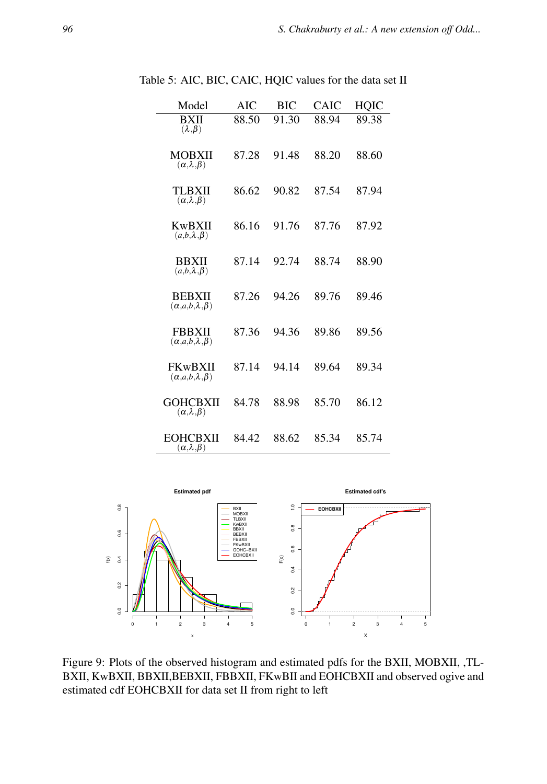| Model                                              | AIC   | <b>BIC</b> | CAIC  | <b>HQIC</b> |
|----------------------------------------------------|-------|------------|-------|-------------|
| <b>BXII</b><br>$(\lambda, \beta)$                  | 88.50 | 91.30      | 88.94 | 89.38       |
| <b>MOBXII</b><br>$(\alpha, \lambda, \beta)$        | 87.28 | 91.48      | 88.20 | 88.60       |
| TLBXII<br>$(\alpha, \lambda, \beta)$               | 86.62 | 90.82      | 87.54 | 87.94       |
| KwBXII<br>$(a,b,\lambda,\beta)$                    | 86.16 | 91.76      | 87.76 | 87.92       |
| <b>BBXII</b><br>$(a,b,\lambda,\beta)$              | 87.14 | 92.74      | 88.74 | 88.90       |
| <b>BEBXII</b><br>$(\alpha, a, b, \lambda, \beta)$  | 87.26 | 94.26      | 89.76 | 89.46       |
| <b>FBBXII</b><br>$(\alpha, a, b, \lambda, \beta)$  | 87.36 | 94.36      | 89.86 | 89.56       |
| <b>FKwBXII</b><br>$(\alpha, a, b, \lambda, \beta)$ | 87.14 | 94.14      | 89.64 | 89.34       |
| GOHCBXII<br>$(\alpha, \lambda, \beta)$             | 84.78 | 88.98      | 85.70 | 86.12       |
| EOHCBXII<br>$(\alpha, \lambda, \beta)$             | 84.42 | 88.62      | 85.34 | 85.74       |

Table 5: AIC, BIC, CAIC, HQIC values for the data set II



Figure 9: Plots of the observed histogram and estimated pdfs for the BXII, MOBXII, ,TL-BXII, KwBXII, BBXII, BEBXII, FBBXII, FKwBII and EOHCBXII and observed ogive and estimated cdf EOHCBXII for data set II from right to left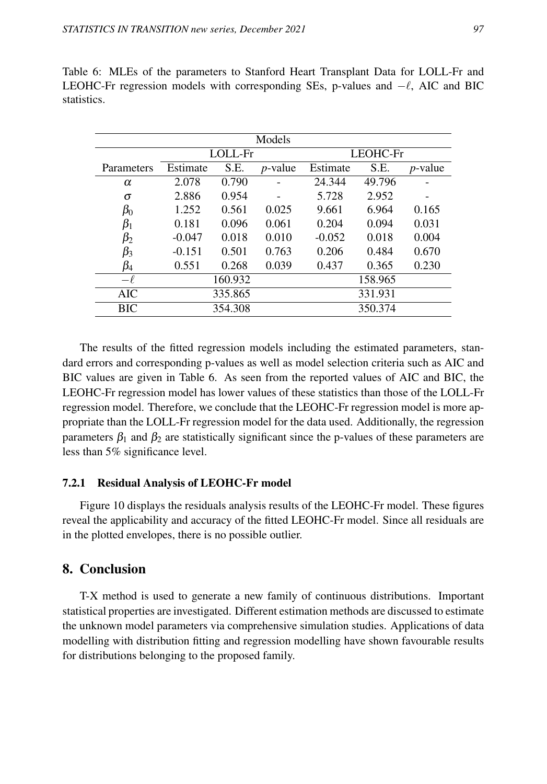| Models     |          |         |                 |          |         |                 |  |  |
|------------|----------|---------|-----------------|----------|---------|-----------------|--|--|
|            |          | LOLL-Fr |                 | LEOHC-Fr |         |                 |  |  |
| Parameters | Estimate | S.E.    | <i>p</i> -value | Estimate | S.E.    | <i>p</i> -value |  |  |
| $\alpha$   | 2.078    | 0.790   |                 | 24.344   | 49.796  |                 |  |  |
| σ          | 2.886    | 0.954   |                 | 5.728    | 2.952   |                 |  |  |
| $\beta_0$  | 1.252    | 0.561   | 0.025           | 9.661    | 6.964   | 0.165           |  |  |
| $\beta_1$  | 0.181    | 0.096   | 0.061           | 0.204    | 0.094   | 0.031           |  |  |
| $\beta_2$  | $-0.047$ | 0.018   | 0.010           | $-0.052$ | 0.018   | 0.004           |  |  |
| $\beta_3$  | $-0.151$ | 0.501   | 0.763           | 0.206    | 0.484   | 0.670           |  |  |
| $\beta_4$  | 0.551    | 0.268   | 0.039           | 0.437    | 0.365   | 0.230           |  |  |
| $-\ell$    |          | 160.932 |                 |          | 158.965 |                 |  |  |
| <b>AIC</b> |          | 335.865 |                 |          | 331.931 |                 |  |  |
| BIC        |          | 354.308 |                 |          | 350.374 |                 |  |  |

Table 6: MLEs of the parameters to Stanford Heart Transplant Data for LOLL-Fr and LEOHC-Fr regression models with corresponding SEs, p-values and −ℓ, AIC and BIC statistics.

The results of the fitted regression models including the estimated parameters, standard errors and corresponding p-values as well as model selection criteria such as AIC and BIC values are given in Table 6. As seen from the reported values of AIC and BIC, the LEOHC-Fr regression model has lower values of these statistics than those of the LOLL-Fr regression model. Therefore, we conclude that the LEOHC-Fr regression model is more appropriate than the LOLL-Fr regression model for the data used. Additionally, the regression parameters  $\beta_1$  and  $\beta_2$  are statistically significant since the p-values of these parameters are less than 5% significance level.

## 7.2.1 Residual Analysis of LEOHC-Fr model

Figure 10 displays the residuals analysis results of the LEOHC-Fr model. These figures reveal the applicability and accuracy of the fitted LEOHC-Fr model. Since all residuals are in the plotted envelopes, there is no possible outlier.

# 8. Conclusion

T-X method is used to generate a new family of continuous distributions. Important statistical properties are investigated. Different estimation methods are discussed to estimate the unknown model parameters via comprehensive simulation studies. Applications of data modelling with distribution fitting and regression modelling have shown favourable results for distributions belonging to the proposed family.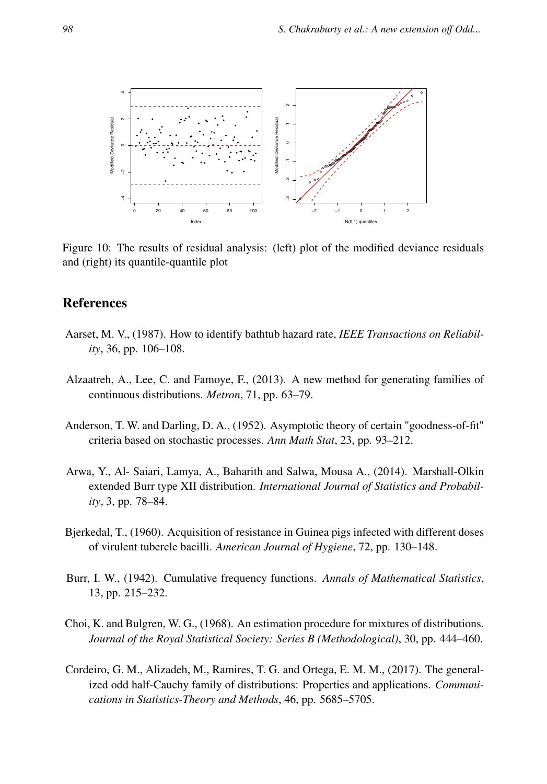

Figure 10: The results of residual analysis: (left) plot of the modified deviance residuals and (right) its quantile-quantile plot

## **References**

- Aarset, M. V., (1987). How to identify bathtub hazard rate, *IEEE Transactions on Reliability*, 36, pp. 106–108.
- Alzaatreh, A., Lee, C. and Famoye, F., (2013). A new method for generating families of continuous distributions. *Metron*, 71, pp. 63–79.
- Anderson, T. W. and Darling, D. A., (1952). Asymptotic theory of certain "goodness-of-fit" criteria based on stochastic processes. *Ann Math Stat*, 23, pp. 93–212.
- Arwa, Y., Al- Saiari, Lamya, A., Baharith and Salwa, Mousa A., (2014). Marshall-Olkin extended Burr type XII distribution. *International Journal of Statistics and Probability*, 3, pp. 78–84.
- Bjerkedal, T., (1960). Acquisition of resistance in Guinea pigs infected with different doses of virulent tubercle bacilli. *American Journal of Hygiene*, 72, pp. 130–148.
- Burr, I. W., (1942). Cumulative frequency functions. *Annals of Mathematical Statistics*, 13, pp. 215–232.
- Choi, K. and Bulgren, W. G., (1968). An estimation procedure for mixtures of distributions. *Journal of the Royal Statistical Society: Series B (Methodological)*, 30, pp. 444–460.
- Cordeiro, G. M., Alizadeh, M., Ramires, T. G. and Ortega, E. M. M., (2017). The generalized odd half-Cauchy family of distributions: Properties and applications. *Communications in Statistics-Theory and Methods*, 46, pp. 5685–5705.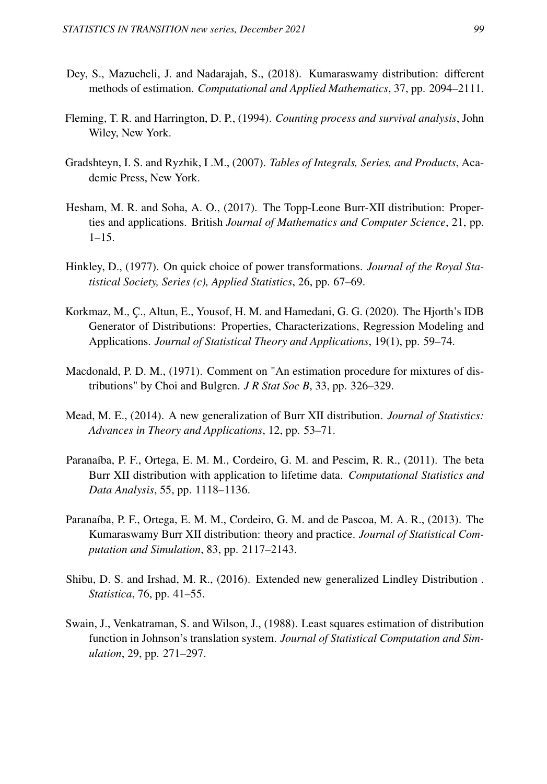- Dey, S., Mazucheli, J. and Nadarajah, S., (2018). Kumaraswamy distribution: different methods of estimation. *Computational and Applied Mathematics*, 37, pp. 2094–2111.
- Fleming, T. R. and Harrington, D. P., (1994). *Counting process and survival analysis*, John Wiley, New York.
- Gradshteyn, I. S. and Ryzhik, I .M., (2007). *Tables of Integrals, Series, and Products*, Academic Press, New York.
- Hesham, M. R. and Soha, A. O., (2017). The Topp-Leone Burr-XII distribution: Properties and applications. British *Journal of Mathematics and Computer Science*, 21, pp. 1–15.
- Hinkley, D., (1977). On quick choice of power transformations. *Journal of the Royal Statistical Society, Series (c), Applied Statistics*, 26, pp. 67–69.
- Korkmaz, M., Ç., Altun, E., Yousof, H. M. and Hamedani, G. G. (2020). The Hjorth's IDB Generator of Distributions: Properties, Characterizations, Regression Modeling and Applications. *Journal of Statistical Theory and Applications*, 19(1), pp. 59–74.
- Macdonald, P. D. M., (1971). Comment on "An estimation procedure for mixtures of distributions" by Choi and Bulgren. *J R Stat Soc B*, 33, pp. 326–329.
- Mead, M. E., (2014). A new generalization of Burr XII distribution. *Journal of Statistics: Advances in Theory and Applications*, 12, pp. 53–71.
- Paranaíba, P. F., Ortega, E. M. M., Cordeiro, G. M. and Pescim, R. R., (2011). The beta Burr XII distribution with application to lifetime data. *Computational Statistics and Data Analysis*, 55, pp. 1118–1136.
- Paranaíba, P. F., Ortega, E. M. M., Cordeiro, G. M. and de Pascoa, M. A. R., (2013). The Kumaraswamy Burr XII distribution: theory and practice. *Journal of Statistical Computation and Simulation*, 83, pp. 2117–2143.
- Shibu, D. S. and Irshad, M. R., (2016). Extended new generalized Lindley Distribution . *Statistica*, 76, pp. 41–55.
- Swain, J., Venkatraman, S. and Wilson, J., (1988). Least squares estimation of distribution function in Johnson's translation system. *Journal of Statistical Computation and Simulation*, 29, pp. 271–297.